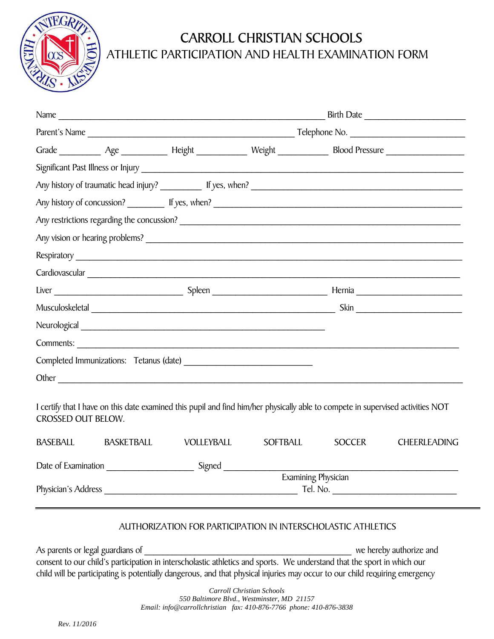

## CARROLL CHRISTIAN SCHOOLS

## ATHLETIC PARTICIPATION AND HEALTH EXAMINATION FORM

|                           | Other contact the contact of the contact of the contact of the contact of the contact of the contact of the contact of the contact of the contact of the contact of the contact of the contact of the contact of the contact o |                     |          |               |                     |  |
|---------------------------|--------------------------------------------------------------------------------------------------------------------------------------------------------------------------------------------------------------------------------|---------------------|----------|---------------|---------------------|--|
| <b>CROSSED OUT BELOW.</b> | I certify that I have on this date examined this pupil and find him/her physically able to compete in supervised activities NOT                                                                                                |                     |          |               |                     |  |
| BASEBALL                  | <b>BASKETBALL</b>                                                                                                                                                                                                              | <b>VOLLEYBALL</b>   | SOFTBALL | <b>SOCCER</b> | <b>CHEERLEADING</b> |  |
|                           | Date of Examination Signed Signed                                                                                                                                                                                              |                     |          |               |                     |  |
|                           |                                                                                                                                                                                                                                | Examining Physician |          |               |                     |  |
| Physician's Address       |                                                                                                                                                                                                                                | Tel. No.            |          |               |                     |  |

## AUTHORIZATION FOR PARTICIPATION IN INTERSCHOLASTIC ATHLETICS

As parents or legal guardians of  $\blacksquare$ consent to our child's participation in interscholastic athletics and sports. We understand that the sport in which our child will be participating is potentially dangerous, and that physical injuries may occur to our child requiring emergency